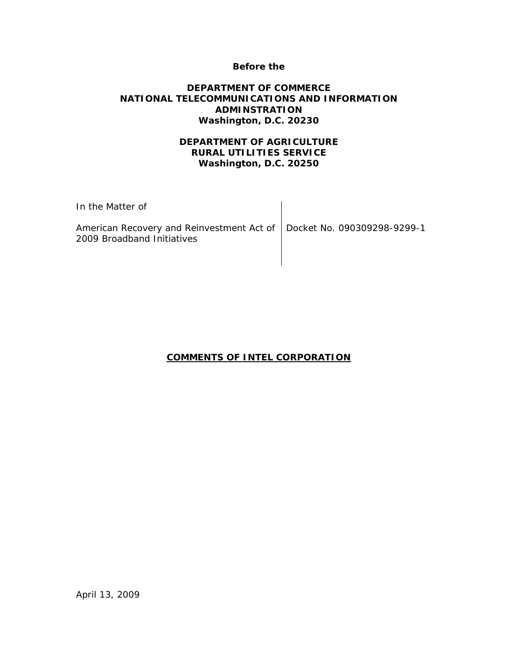#### **Before the**

### **DEPARTMENT OF COMMERCE NATIONAL TELECOMMUNICATIONS AND INFORMATION ADMINSTRATION Washington, D.C. 20230**

## **DEPARTMENT OF AGRICULTURE RURAL UTILITIES SERVICE Washington, D.C. 20250**

| In the Matter of                                                                                      |  |
|-------------------------------------------------------------------------------------------------------|--|
| American Recovery and Reinvestment Act of   Docket No. 090309298-9299-1<br>2009 Broadband Initiatives |  |

## **COMMENTS OF INTEL CORPORATION**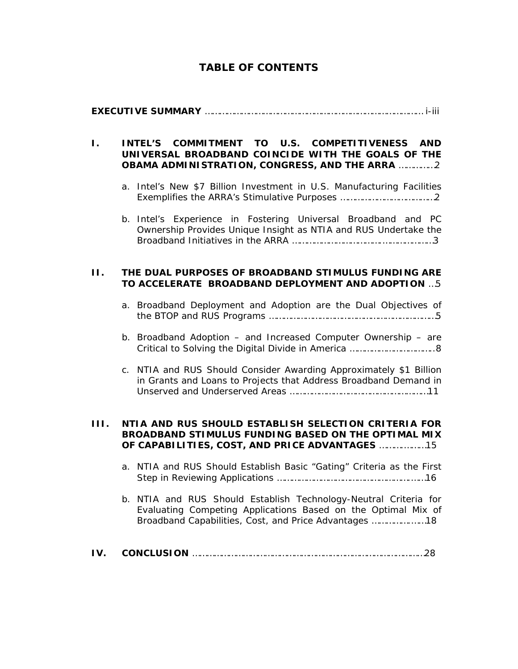# **TABLE OF CONTENTS**

# **EXECUTIVE SUMMARY** ……………………………………………………………………………… i-iii

### **I. INTEL'S COMMITMENT TO U.S. COMPETITIVENESS AND UNIVERSAL BROADBAND COINCIDE WITH THE GOALS OF THE OBAMA ADMINISTRATION, CONGRESS, AND THE ARRA** ……………2

- a. Intel's New \$7 Billion Investment in U.S. Manufacturing Facilities Exemplifies the ARRA's Stimulative Purposes …………………………………2
- b. Intel's Experience in Fostering Universal Broadband and PC Ownership Provides Unique Insight as NTIA and RUS Undertake the Broadband Initiatives in the ARRA ……………………………….…………………3

#### **II. THE DUAL PURPOSES OF BROADBAND STIMULUS FUNDING ARE TO ACCELERATE BROADBAND DEPLOYMENT AND ADOPTION** …5

- a. Broadband Deployment and Adoption are the Dual Objectives of the BTOP and RUS Programs ……………………………………………………………5
- b. Broadband Adoption and Increased Computer Ownership are Critical to Solving the Digital Divide in America ……………………………..8
- c. NTIA and RUS Should Consider Awarding Approximately \$1 Billion in Grants and Loans to Projects that Address Broadband Demand in Unserved and Underserved Areas …………………………………………………11

#### **III. NTIA AND RUS SHOULD ESTABLISH SELECTION CRITERIA FOR BROADBAND STIMULUS FUNDING BASED ON THE OPTIMAL MIX OF CAPABILITIES, COST, AND PRICE ADVANTAGES** ……….………15

- a. NTIA and RUS Should Establish Basic "Gating" Criteria as the First Step in Reviewing Applications ……………………………………………….……16
- b. NTIA and RUS Should Establish Technology-Neutral Criteria for Evaluating Competing Applications Based on the Optimal Mix of Broadband Capabilities, Cost, and Price Advantages …………….……18
- **IV. CONCLUSION** ……………………………………………………………………………………28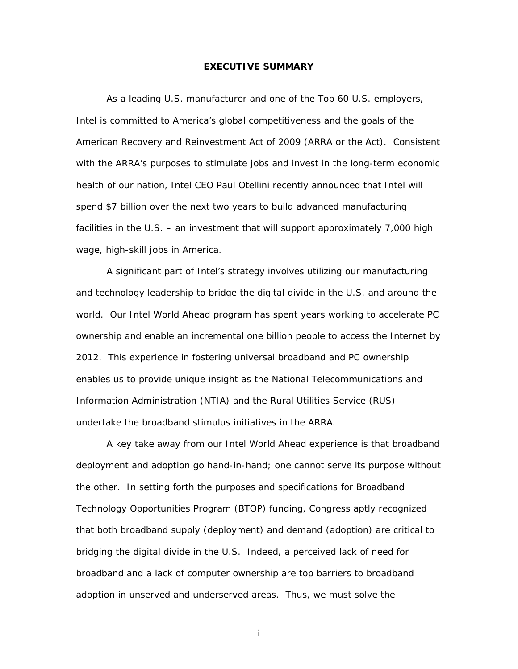#### **EXECUTIVE SUMMARY**

As a leading U.S. manufacturer and one of the Top 60 U.S. employers, Intel is committed to America's global competitiveness and the goals of the American Recovery and Reinvestment Act of 2009 (ARRA or the Act). Consistent with the ARRA's purposes to stimulate jobs and invest in the long-term economic health of our nation, Intel CEO Paul Otellini recently announced that Intel will spend *\$7 billion over the next two years* to build advanced manufacturing facilities in the U.S. – an investment that will support approximately 7,000 high wage, high-skill jobs in America.

A significant part of Intel's strategy involves utilizing our manufacturing and technology leadership to bridge the digital divide in the U.S. and around the world. Our Intel World Ahead program has spent years working to accelerate PC ownership and enable an incremental one billion people to access the Internet by 2012. This experience in fostering universal broadband and PC ownership enables us to provide unique insight as the National Telecommunications and Information Administration (NTIA) and the Rural Utilities Service (RUS) undertake the broadband stimulus initiatives in the ARRA.

 A key take away from our Intel World Ahead experience is that broadband deployment and adoption go hand-in-hand; one cannot serve its purpose without the other. In setting forth the purposes and specifications for Broadband Technology Opportunities Program (BTOP) funding, Congress aptly recognized that both broadband supply (deployment) and demand (adoption) are critical to bridging the digital divide in the U.S. Indeed, a perceived lack of need for broadband and a lack of computer ownership are top barriers to broadband adoption in unserved and underserved areas. Thus, we must solve the

i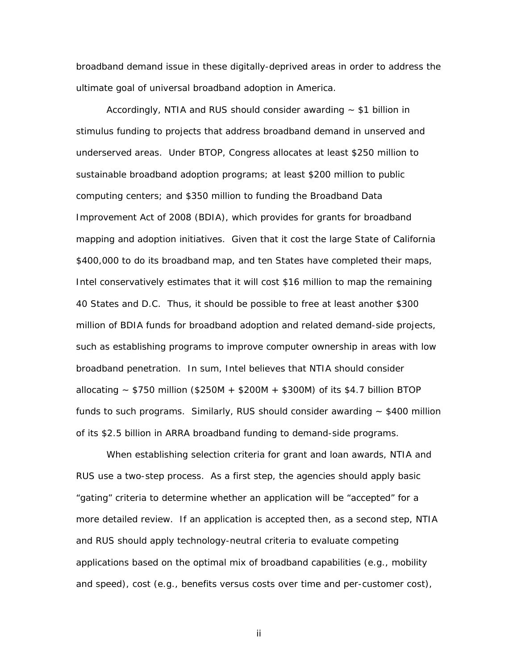broadband demand issue in these digitally-deprived areas in order to address the ultimate goal of universal broadband adoption in America.

Accordingly, NTIA and RUS should consider awarding  $\sim$  \$1 billion in stimulus funding to projects that address broadband demand in unserved and underserved areas. Under BTOP, Congress allocates at least \$250 million to sustainable broadband adoption programs; at least \$200 million to public computing centers; and \$350 million to funding the Broadband Data Improvement Act of 2008 (BDIA), which provides for grants for broadband mapping and adoption initiatives. Given that it cost the large State of California \$400,000 to do its broadband map, and ten States have completed their maps, Intel conservatively estimates that it will cost \$16 million to map the remaining 40 States and D.C. Thus, it should be possible to free at least another \$300 million of BDIA funds for broadband adoption and related demand-side projects, such as establishing programs to improve computer ownership in areas with low broadband penetration. In sum, Intel believes that NTIA should consider allocating  $\sim$  \$750 million (\$250M + \$200M + \$300M) of its \$4.7 billion BTOP funds to such programs. Similarly, RUS should consider awarding  $\sim$  \$400 million of its \$2.5 billion in ARRA broadband funding to demand-side programs.

When establishing selection criteria for grant and loan awards, NTIA and RUS use a two-step process. As a first step, the agencies should apply basic "gating" criteria to determine whether an application will be "accepted" for a more detailed review. If an application is accepted then, as a second step, NTIA and RUS should apply technology-neutral criteria to evaluate competing applications based on the optimal mix of broadband capabilities (*e.g.*, mobility and speed), cost (*e.g.*, benefits versus costs over time and per-customer cost),

ii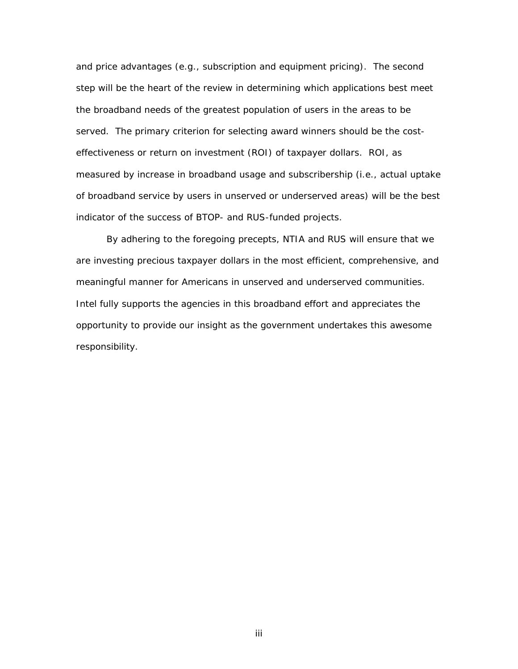and price advantages (*e.g.*, subscription and equipment pricing). The second step will be the heart of the review in determining which applications best meet the broadband needs of the greatest population of users in the areas to be served. The primary criterion for selecting award winners should be the costeffectiveness or return on investment (ROI) of taxpayer dollars. ROI, as measured by increase in broadband usage and subscribership (*i.e*., actual uptake of broadband service by users in unserved or underserved areas) will be the best indicator of the success of BTOP- and RUS-funded projects.

By adhering to the foregoing precepts, NTIA and RUS will ensure that we are investing precious taxpayer dollars in the most efficient, comprehensive, and meaningful manner for Americans in unserved and underserved communities. Intel fully supports the agencies in this broadband effort and appreciates the opportunity to provide our insight as the government undertakes this awesome responsibility.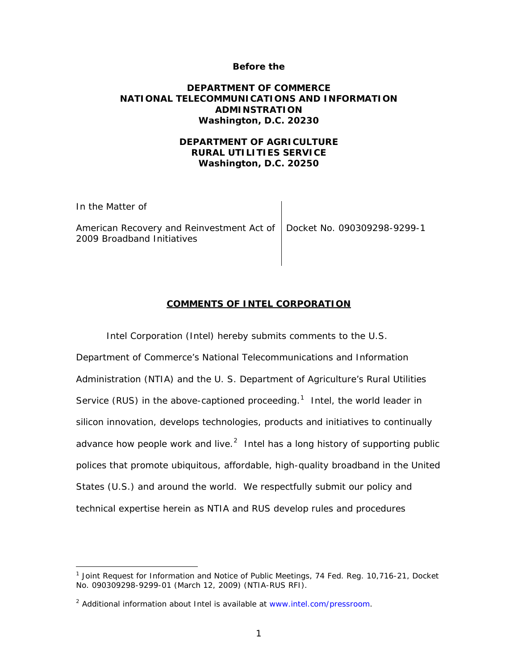#### **Before the**

#### **DEPARTMENT OF COMMERCE NATIONAL TELECOMMUNICATIONS AND INFORMATION ADMINSTRATION Washington, D.C. 20230**

### **DEPARTMENT OF AGRICULTURE RURAL UTILITIES SERVICE Washington, D.C. 20250**

| In the Matter of                                                                                      |  |
|-------------------------------------------------------------------------------------------------------|--|
| American Recovery and Reinvestment Act of   Docket No. 090309298-9299-1<br>2009 Broadband Initiatives |  |

#### **COMMENTS OF INTEL CORPORATION**

Intel Corporation (Intel) hereby submits comments to the U.S.

Department of Commerce's National Telecommunications and Information Administration (NTIA) and the U. S. Department of Agriculture's Rural Utilities Service (RUS) in the above-captioned proceeding.<sup>[1](#page-5-0)</sup> Intel, the world leader in silicon innovation, develops technologies, products and initiatives to continually advance how people work and live. $^2$  $^2$  Intel has a long history of supporting public polices that promote ubiquitous, affordable, high-quality broadband in the United States (U.S.) and around the world. We respectfully submit our policy and technical expertise herein as NTIA and RUS develop rules and procedures

<span id="page-5-0"></span><sup>&</sup>lt;sup>1</sup> Joint Request for Information and Notice of Public Meetings, 74 Fed. Reg. 10,716-21, Docket No. 090309298-9299-01 (March 12, 2009) (NTIA-RUS RFI).

<span id="page-5-1"></span><sup>&</sup>lt;sup>2</sup> Additional information about Intel is available at [www.intel.com/pressroom](http://www.intel.com/pressroom/index.htm).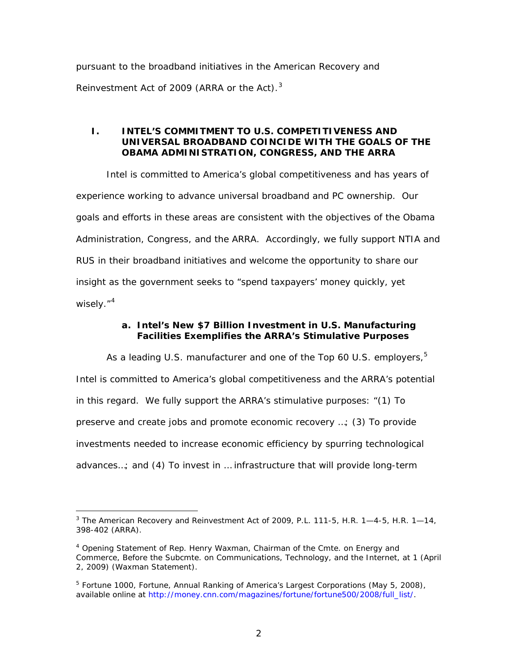pursuant to the broadband initiatives in the American Recovery and Reinvestment Act of 2009 (ARRA or the Act). $^3$  $^3$ 

#### **I. INTEL'S COMMITMENT TO U.S. COMPETITIVENESS AND UNIVERSAL BROADBAND COINCIDE WITH THE GOALS OF THE OBAMA ADMINISTRATION, CONGRESS, AND THE ARRA**

Intel is committed to America's global competitiveness and has years of experience working to advance universal broadband and PC ownership. Our goals and efforts in these areas are consistent with the objectives of the Obama Administration, Congress, and the ARRA. Accordingly, we fully support NTIA and RUS in their broadband initiatives and welcome the opportunity to share our insight as the government seeks to "spend taxpayers' money quickly, yet wisely."<sup>[4](#page-6-1)</sup>

### **a. Intel's New \$7 Billion Investment in U.S. Manufacturing Facilities Exemplifies the ARRA's Stimulative Purposes**

As a leading U.S. manufacturer and one of the Top 60 U.S. employers,  $5$ Intel is committed to America's global competitiveness and the ARRA's potential in this regard. We fully support the ARRA's stimulative purposes: "(1) To preserve and create jobs and promote economic recovery …; (3) To provide investments needed to increase economic efficiency by spurring technological advances…; and (4) To invest in … infrastructure that will provide long-term

<span id="page-6-0"></span> $\overline{a}$ <sup>3</sup> The American Recovery and Reinvestment Act of 2009, P.L. 111-5, H.R. 1-4-5, H.R. 1-14, 398-402 (ARRA).

<span id="page-6-1"></span><sup>4</sup> Opening Statement of Rep. Henry Waxman, Chairman of the Cmte. on Energy and Commerce, Before the Subcmte. on Communications, Technology, and the Internet, at 1 (April 2, 2009) (Waxman Statement).

<span id="page-6-2"></span><sup>&</sup>lt;sup>5</sup> Fortune 1000, *Fortune*, Annual Ranking of America's Largest Corporations (May 5, 2008), available online at [http://money.cnn.com/magazines/fortune/fortune500/2008/full\\_list/](http://money.cnn.com/magazines/fortune/fortune500/2008/full_list/).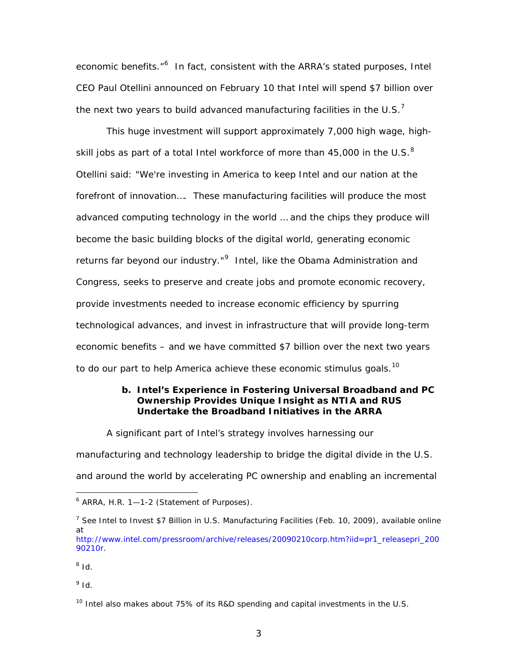economic benefits."<sup>[6](#page-7-0)</sup> In fact, consistent with the ARRA's stated purposes, Intel CEO Paul Otellini announced on February 10 that Intel will spend *\$7 billion over the next two years* to build advanced manufacturing facilities in the U.S.<sup>[7](#page-7-1)</sup>

This huge investment will support approximately 7,000 high wage, highskill jobs as part of a total Intel workforce of more than 45,000 in the U.S. $^8$  $^8$ Otellini said: "We're investing in America to keep Intel and our nation at the forefront of innovation…. These manufacturing facilities will produce the most advanced computing technology in the world … and the chips they produce will become the basic building blocks of the digital world, generating economic returns far beyond our industry."<sup>[9](#page-7-3)</sup> Intel, like the Obama Administration and Congress, seeks to preserve and create jobs and promote economic recovery, provide investments needed to increase economic efficiency by spurring technological advances, and invest in infrastructure that will provide long-term economic benefits – and we have committed \$7 billion over the next two years to do our part to help America achieve these economic stimulus goals.<sup>[10](#page-7-4)</sup>

### **b. Intel's Experience in Fostering Universal Broadband and PC Ownership Provides Unique Insight as NTIA and RUS Undertake the Broadband Initiatives in the ARRA**

A significant part of Intel's strategy involves harnessing our

manufacturing and technology leadership to bridge the digital divide in the U.S. and around the world by accelerating PC ownership and enabling an incremental

<span id="page-7-2"></span><sup>8</sup> *Id.* 

 $\overline{a}$ 

<span id="page-7-3"></span> $9$  *Id.* 

<span id="page-7-0"></span><sup>&</sup>lt;sup>6</sup> ARRA, H.R. 1–1-2 (Statement of Purposes).

<span id="page-7-1"></span><sup>7</sup> *See Intel to Invest \$7 Billion in U.S. Manufacturing Facilities* (Feb. 10, 2009), available online at [http://www.intel.com/pressroom/archive/releases/20090210corp.htm?iid=pr1\\_releasepri\\_200](http://www.intel.com/pressroom/archive/releases/20090210corp.htm?iid=pr1_releasepri_20090210r) [90210r](http://www.intel.com/pressroom/archive/releases/20090210corp.htm?iid=pr1_releasepri_20090210r).

<span id="page-7-4"></span><sup>&</sup>lt;sup>10</sup> Intel also makes about 75% of its R&D spending and capital investments in the U.S.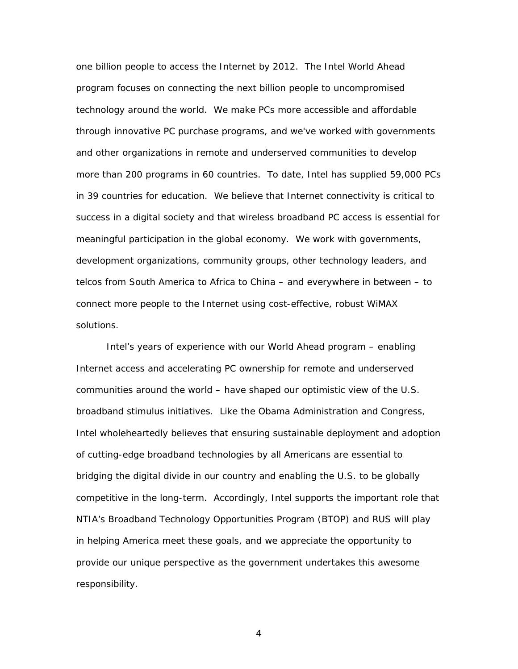one billion people to access the Internet by 2012. The Intel World Ahead program focuses on connecting the next billion people to uncompromised technology around the world. We make PCs more accessible and affordable through innovative PC purchase programs, and we've worked with governments and other organizations in remote and underserved communities to develop more than 200 programs in 60 countries. To date, Intel has supplied 59,000 PCs in 39 countries for education. We believe that Internet connectivity is critical to success in a digital society and that wireless broadband PC access is essential for meaningful participation in the global economy. We work with governments, development organizations, community groups, other technology leaders, and telcos from South America to Africa to China – and everywhere in between – to connect more people to the Internet using cost-effective, robust WiMAX solutions.

Intel's years of experience with our World Ahead program – enabling Internet access and accelerating PC ownership for remote and underserved communities around the world – have shaped our optimistic view of the U.S. broadband stimulus initiatives. Like the Obama Administration and Congress, Intel wholeheartedly believes that ensuring sustainable deployment and adoption of cutting-edge broadband technologies by all Americans are essential to bridging the digital divide in our country and enabling the U.S. to be globally competitive in the long-term. Accordingly, Intel supports the important role that NTIA's Broadband Technology Opportunities Program (BTOP) and RUS will play in helping America meet these goals, and we appreciate the opportunity to provide our unique perspective as the government undertakes this awesome responsibility.

4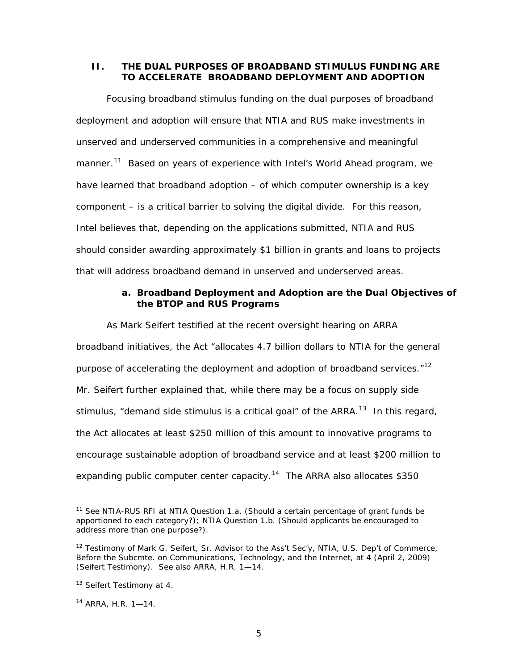#### **II. THE DUAL PURPOSES OF BROADBAND STIMULUS FUNDING ARE TO ACCELERATE BROADBAND DEPLOYMENT AND ADOPTION**

Focusing broadband stimulus funding on the dual purposes of broadband deployment and adoption will ensure that NTIA and RUS make investments in unserved and underserved communities in a comprehensive and meaningful manner.<sup>[11](#page-9-0)</sup> Based on years of experience with Intel's World Ahead program, we have learned that broadband adoption – of which computer ownership is a key component – is a critical barrier to solving the digital divide. For this reason, Intel believes that, depending on the applications submitted, NTIA and RUS should consider awarding approximately \$1 billion in grants and loans to projects that will address broadband demand in unserved and underserved areas.

### **a. Broadband Deployment and Adoption are the Dual Objectives of the BTOP and RUS Programs**

As Mark Seifert testified at the recent oversight hearing on ARRA broadband initiatives, the Act "allocates 4.7 billion dollars to NTIA for the general purpose of accelerating the deployment and adoption of broadband services."<sup>[12](#page-9-1)</sup> Mr. Seifert further explained that, while there may be a focus on supply side stimulus, "demand side stimulus is a critical goal" of the ARRA. $13$  In this regard, the Act allocates *at least* \$250 million of this amount to innovative programs to encourage sustainable adoption of broadband service and *at least* \$200 million to expanding public computer center capacity.<sup>[14](#page-9-3)</sup> The ARRA also allocates \$350

<span id="page-9-0"></span><sup>11</sup> *See* NTIA-RUS RFI at NTIA Question 1.a. (Should a certain percentage of grant funds be apportioned to each category?); NTIA Question 1.b. (Should applicants be encouraged to address more than one purpose?).

<span id="page-9-1"></span> $12$  Testimony of Mark G. Seifert, Sr. Advisor to the Ass't Sec'y, NTIA, U.S. Dep't of Commerce, Before the Subcmte. on Communications, Technology, and the Internet, at 4 (April 2, 2009) (Seifert Testimony). *See also* ARRA, H.R. 1—14.

<span id="page-9-2"></span><sup>&</sup>lt;sup>13</sup> Seifert Testimony at 4.

<span id="page-9-3"></span><sup>14</sup> ARRA, H.R. 1—14.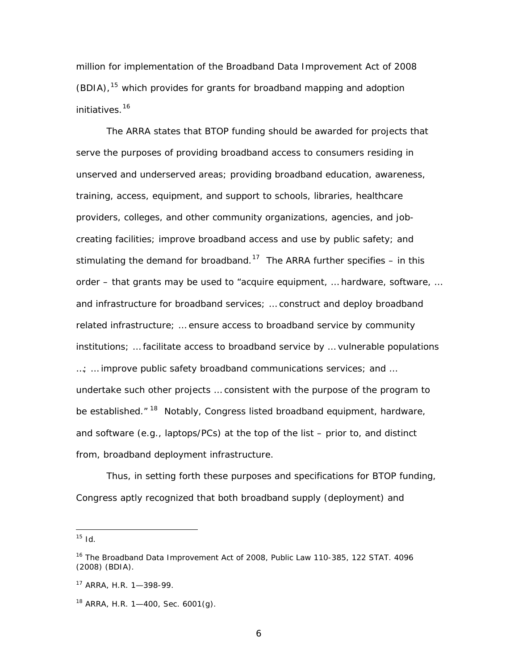million for implementation of the Broadband Data Improvement Act of 2008 (BDIA),<sup>[15](#page-10-0)</sup> which provides for grants for broadband mapping and adoption initiatives.<sup>[16](#page-10-1)</sup>

The ARRA states that BTOP funding should be awarded for projects that serve the purposes of providing broadband access to consumers residing in unserved and underserved areas; providing broadband education, awareness, training, access, equipment, and support to schools, libraries, healthcare providers, colleges, and other community organizations, agencies, and jobcreating facilities; improve broadband access and use by public safety; and stimulating the demand for broadband.<sup>[17](#page-10-2)</sup> The ARRA further specifies – in this order – that grants may be used to "acquire equipment, … hardware, software, … and infrastructure for broadband services; … construct and deploy broadband related infrastructure; … ensure access to broadband service by community institutions; … facilitate access to broadband service by … vulnerable populations …; … improve public safety broadband communications services; and … undertake such other projects … consistent with the purpose of the program to be established."<sup>[18](#page-10-3)</sup> Notably, Congress listed broadband equipment, hardware, and software (*e.g*., laptops/PCs) at the top of the list – *prior to*, *and distinct from,* broadband deployment infrastructure.

Thus, in setting forth these purposes and specifications for BTOP funding, Congress aptly recognized that both broadband supply (deployment) and

<span id="page-10-0"></span> $15$  *Id*.

<span id="page-10-1"></span><sup>&</sup>lt;sup>16</sup> The Broadband Data Improvement Act of 2008, Public Law 110-385, 122 STAT. 4096 (2008) (BDIA).

<span id="page-10-2"></span><sup>17</sup> ARRA, H.R. 1—398-99.

<span id="page-10-3"></span> $18$  ARRA, H.R. 1-400, Sec. 6001(g).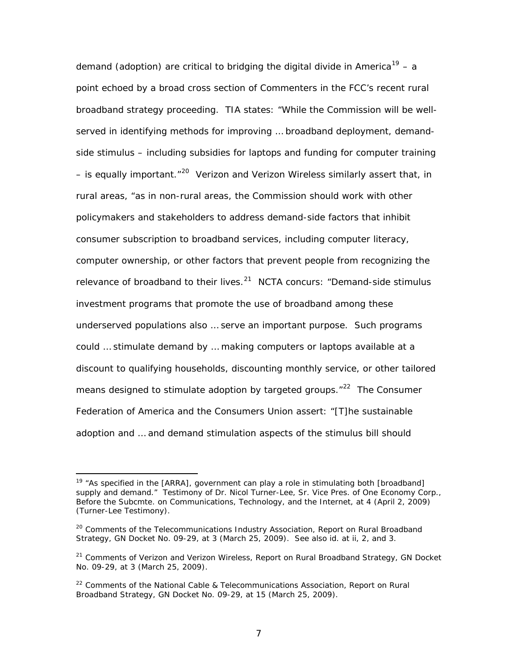demand (adoption) are critical to bridging the digital divide in America<sup>[19](#page-11-0)</sup> – a point echoed by a broad cross section of Commenters in the FCC's recent rural broadband strategy proceeding. TIA states: "While the Commission will be wellserved in identifying methods for improving … broadband deployment, demandside stimulus – including subsidies for laptops and funding for computer training – is equally important.<sup>"[20](#page-11-1)</sup> Verizon and Verizon Wireless similarly assert that, in rural areas, "as in non-rural areas, the Commission should work with other policymakers and stakeholders to address demand-side factors that inhibit consumer subscription to broadband services, including computer literacy, computer ownership, or other factors that prevent people from recognizing the relevance of broadband to their lives. $21$  NCTA concurs: "Demand-side stimulus investment programs that promote the use of broadband among these underserved populations also … serve an important purpose. Such programs could … stimulate demand by … making computers or laptops available at a discount to qualifying households, discounting monthly service, or other tailored means designed to stimulate adoption by targeted groups. $12^2$  The Consumer Federation of America and the Consumers Union assert: "[T]he sustainable adoption and … and demand stimulation aspects of the stimulus bill should

<span id="page-11-0"></span><sup>&</sup>lt;sup>19</sup> "As specified in the [ARRA], government can play a role in stimulating both [broadband] supply and demand." Testimony of Dr. Nicol Turner-Lee, Sr. Vice Pres. of One Economy Corp., Before the Subcmte. on Communications, Technology, and the Internet, at 4 (April 2, 2009) (Turner-Lee Testimony).

<span id="page-11-1"></span><sup>20</sup> Comments of the Telecommunications Industry Association, *Report on Rural Broadband Strategy*, GN Docket No. 09-29, at 3 (March 25, 2009). *See also id.* at ii, 2, and 3.

<span id="page-11-2"></span><sup>21</sup> Comments of Verizon and Verizon Wireless, *Report on Rural Broadband Strategy*, GN Docket No. 09-29, at 3 (March 25, 2009).

<span id="page-11-3"></span><sup>22</sup> Comments of the National Cable & Telecommunications Association, *Report on Rural Broadband Strategy*, GN Docket No. 09-29, at 15 (March 25, 2009).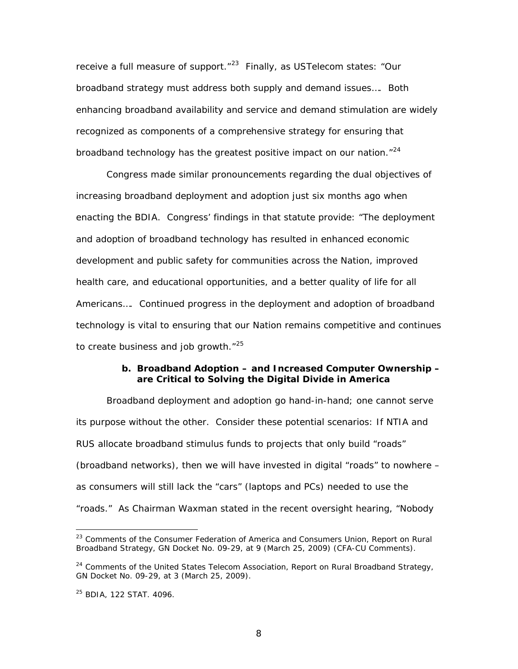receive a full measure of support."<sup>[23](#page-12-0)</sup> Finally, as USTelecom states: "Our broadband strategy must address both supply and demand issues…. Both enhancing broadband availability and service and demand stimulation are widely recognized as components of a comprehensive strategy for ensuring that broadband technology has the greatest positive impact on our nation.<sup>"[24](#page-12-1)</sup>

Congress made similar pronouncements regarding the dual objectives of increasing broadband deployment and adoption just six months ago when enacting the BDIA. Congress' findings in that statute provide: "The deployment and adoption of broadband technology has resulted in enhanced economic development and public safety for communities across the Nation, improved health care, and educational opportunities, and a better quality of life for all Americans…. Continued progress in the deployment and adoption of broadband technology is vital to ensuring that our Nation remains competitive and continues to create business and job growth."<sup>[25](#page-12-2)</sup>

#### **b. Broadband Adoption – and Increased Computer Ownership – are Critical to Solving the Digital Divide in America**

Broadband deployment and adoption go hand-in-hand; one cannot serve its purpose without the other. Consider these potential scenarios: If NTIA and RUS allocate broadband stimulus funds to projects that only build "roads" (broadband networks), then we will have invested in digital "roads" to nowhere – as consumers will still lack the "cars" (laptops and PCs) needed to use the "roads." As Chairman Waxman stated in the recent oversight hearing, "Nobody

<span id="page-12-0"></span><sup>23</sup> Comments of the Consumer Federation of America and Consumers Union, *Report on Rural Broadband Strategy*, GN Docket No. 09-29, at 9 (March 25, 2009) (CFA-CU Comments).

<span id="page-12-1"></span><sup>24</sup> Comments of the United States Telecom Association, *Report on Rural Broadband Strategy*, GN Docket No. 09-29, at 3 (March 25, 2009).

<span id="page-12-2"></span><sup>25</sup> BDIA, 122 STAT. 4096.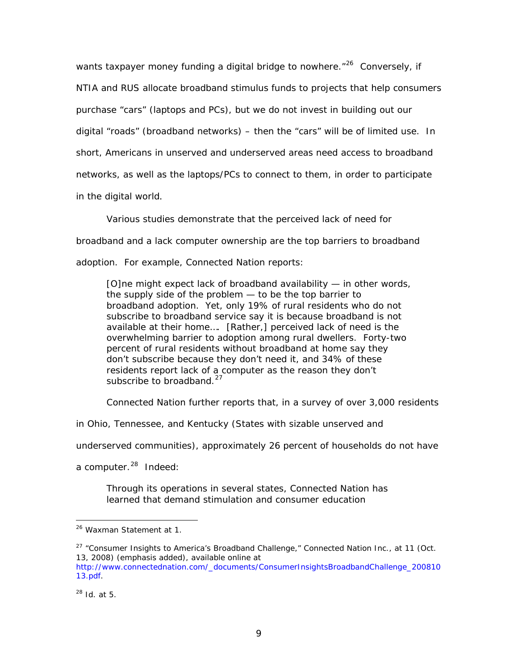wants taxpayer money funding a digital bridge to nowhere. $126$  $126$  Conversely, if NTIA and RUS allocate broadband stimulus funds to projects that help consumers purchase "cars" (laptops and PCs), but we do not invest in building out our digital "roads" (broadband networks) – then the "cars" will be of limited use. In short, Americans in unserved and underserved areas need access to broadband networks, as well as the laptops/PCs to connect to them, in order to participate in the digital world.

Various studies demonstrate that the perceived lack of need for

broadband and a lack computer ownership are the top barriers to broadband

adoption. For example, Connected Nation reports:

[O]ne might expect lack of broadband availability — in other words, the supply side of the problem — to be the top barrier to broadband adoption. Yet, only 19% of rural residents who do not subscribe to broadband service say it is because broadband is not available at their home…. [Rather,] perceived lack of need is the overwhelming barrier to adoption among rural dwellers. Forty-two percent of rural residents without broadband at home say they don't subscribe because they don't need it, and *34% of these residents report lack of a computer as the reason they don't subscribe to broadband*. [27](#page-13-1)

Connected Nation further reports that, in a survey of over 3,000 residents

in Ohio, Tennessee, and Kentucky (States with sizable unserved and

underserved communities), approximately 26 percent of households do not have

a computer.<sup>[28](#page-13-2)</sup> Indeed:

Through its operations in several states, Connected Nation has learned that demand stimulation and consumer education

<span id="page-13-0"></span><sup>26</sup> Waxman Statement at 1.

<span id="page-13-1"></span><sup>&</sup>lt;sup>27</sup> "Consumer Insights to America's Broadband Challenge," Connected Nation Inc., at 11 (Oct. 13, 2008) (emphasis added), available online at [http://www.connectednation.com/\\_documents/ConsumerInsightsBroadbandChallenge\\_200810](http://www.connectednation.com/_documents/ConsumerInsightsBroadbandChallenge_20081013.pdf)

[<sup>13.</sup>pdf](http://www.connectednation.com/_documents/ConsumerInsightsBroadbandChallenge_20081013.pdf).

<span id="page-13-2"></span><sup>28</sup> *Id.* at 5.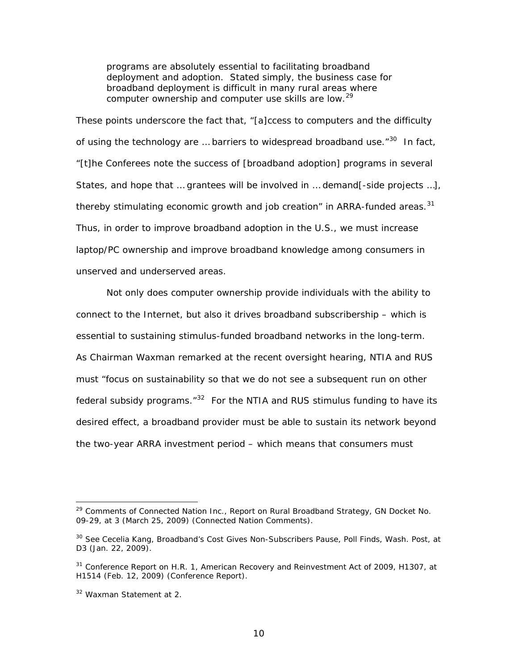programs are absolutely essential to facilitating broadband deployment and adoption. Stated simply, the business case for broadband deployment is difficult in many rural areas where computer ownership and computer use skills are low.[29](#page-14-0)

These points underscore the fact that, "[a]ccess to computers and the difficulty of using the technology are ... barriers to widespread broadband use.<sup>"[30](#page-14-1)</sup> In fact, "[t]he Conferees note the success of [broadband adoption] programs in several States, and hope that … grantees will be involved in … demand[-side projects …], thereby stimulating economic growth and job creation" in ARRA-funded areas. $31$ Thus, in order to improve broadband adoption in the U.S., we must increase laptop/PC ownership and improve broadband knowledge among consumers in unserved and underserved areas.

Not only does computer ownership provide individuals with the ability to connect to the Internet, but also it drives broadband subscribership – which is essential to sustaining stimulus-funded broadband networks in the long-term. As Chairman Waxman remarked at the recent oversight hearing, NTIA and RUS must "focus on sustainability so that we do not see a subsequent run on other federal subsidy programs. $1/32$  $1/32$  For the NTIA and RUS stimulus funding to have its desired effect, a broadband provider must be able to sustain its network beyond the two-year ARRA investment period – which means that consumers must

<span id="page-14-0"></span><sup>29</sup> Comments of Connected Nation Inc., *Report on Rural Broadband Strategy*, GN Docket No. 09-29, at 3 (March 25, 2009) (Connected Nation Comments).

<span id="page-14-1"></span><sup>30</sup> *See* Cecelia Kang, *Broadband's Cost Gives Non-Subscribers Pause, Poll Finds*, Wash. Post, at D3 (Jan. 22, 2009).

<span id="page-14-2"></span><sup>&</sup>lt;sup>31</sup> Conference Report on H.R. 1, American Recovery and Reinvestment Act of 2009, H1307, at H1514 (Feb. 12, 2009) (Conference Report).

<span id="page-14-3"></span><sup>32</sup> Waxman Statement at 2.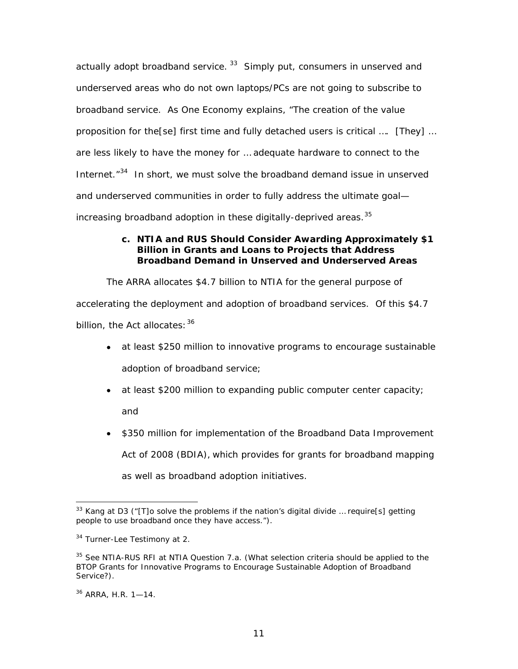actually *adopt* broadband service.<sup>[33](#page-15-0)</sup> Simply put, consumers in unserved and underserved areas who do not own laptops/PCs are not going to subscribe to broadband service. As One Economy explains, "The creation of the value proposition for the[se] first time and fully detached users is critical …. [They] … are less likely to have the money for … adequate hardware to connect to the Internet."<sup>[34](#page-15-1)</sup> In short, we must solve the broadband demand issue in unserved and underserved communities in order to fully address the ultimate goal increasing broadband *adoption* in these digitally-deprived areas.<sup>[35](#page-15-2)</sup>

### **c. NTIA and RUS Should Consider Awarding Approximately \$1 Billion in Grants and Loans to Projects that Address Broadband Demand in Unserved and Underserved Areas**

The ARRA allocates \$4.7 billion to NTIA for the general purpose of accelerating the deployment and adoption of broadband services. Of this \$4.7 billion, the Act allocates:  $36$ 

- *at least* \$250 million to innovative programs to encourage sustainable adoption of broadband service;
- *at least* \$200 million to expanding public computer center capacity; and
- \$350 million for implementation of the Broadband Data Improvement Act of 2008 (BDIA), which provides for grants for broadband mapping as well as broadband adoption initiatives.

<span id="page-15-0"></span><sup>&</sup>lt;sup>33</sup> Kang at D3 ("[T]o solve the problems if the nation's digital divide ... require[s] getting people to use broadband once they have access.").

<span id="page-15-1"></span><sup>&</sup>lt;sup>34</sup> Turner-Lee Testimony at 2.

<span id="page-15-2"></span><sup>35</sup> *See* NTIA-RUS RFI at NTIA Question 7.a. (What selection criteria should be applied to the BTOP Grants for Innovative Programs to Encourage Sustainable Adoption of Broadband Service?).

<span id="page-15-3"></span><sup>36</sup> ARRA, H.R. 1—14.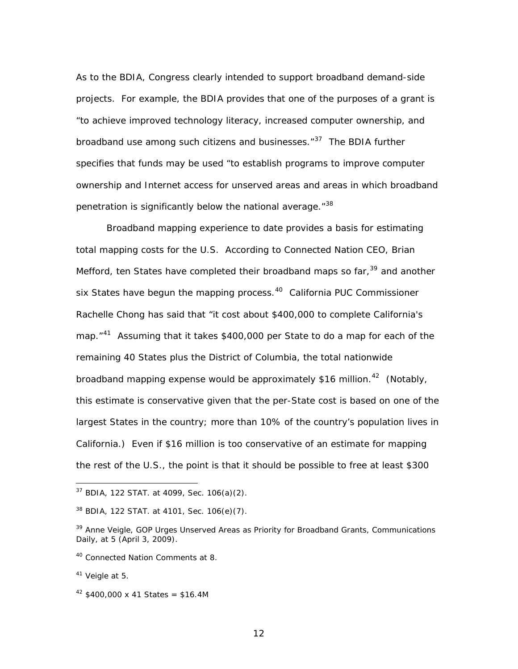As to the BDIA, Congress clearly intended to support broadband demand-side projects. For example, the BDIA provides that one of the purposes of a grant is "to achieve improved technology literacy, increased computer ownership, and broadband use among such citizens and businesses."<sup>[37](#page-16-0)</sup> The BDIA further specifies that funds may be used "to establish programs to improve computer ownership and Internet access for unserved areas and areas in which broadband penetration is significantly below the national average."<sup>[38](#page-16-1)</sup>

Broadband mapping experience to date provides a basis for estimating total mapping costs for the U.S. According to Connected Nation CEO, Brian Mefford, ten States have completed their broadband maps so far,  $39$  and another six States have begun the mapping process.<sup>[40](#page-16-3)</sup> California PUC Commissioner Rachelle Chong has said that "it cost about \$400,000 to complete California's map."<sup>[41](#page-16-4)</sup> Assuming that it takes \$400,000 per State to do a map for each of the remaining 40 States plus the District of Columbia, the total nationwide broadband mapping expense would be approximately \$16 million.<sup>[42](#page-16-5)</sup> (Notably, this estimate is conservative given that the per-State cost is based on one of the largest States in the country; more than 10% of the country's population lives in California.) Even if \$16 million is too conservative of an estimate for mapping the rest of the U.S., the point is that it should be possible to free at least \$300

<span id="page-16-0"></span> $37$  BDIA, 122 STAT. at 4099, Sec. 106(a)(2).

<span id="page-16-1"></span><sup>38</sup> BDIA, 122 STAT. at 4101, Sec. 106(e)(7).

<span id="page-16-2"></span><sup>39</sup> Anne Veigle, *GOP Urges Unserved Areas as Priority for Broadband Grants*, Communications Daily, at 5 (April 3, 2009).

<span id="page-16-3"></span><sup>40</sup> Connected Nation Comments at 8.

<span id="page-16-4"></span><sup>41</sup> Veigle at 5.

<span id="page-16-5"></span> $42$  \$400,000 x 41 States = \$16.4M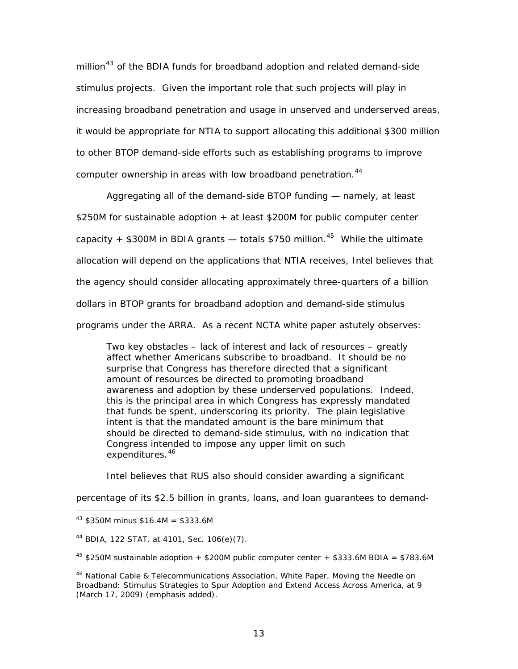million<sup>[43](#page-17-0)</sup> of the BDIA funds for broadband adoption and related demand-side stimulus projects. Given the important role that such projects will play in increasing broadband penetration and usage in unserved and underserved areas, it would be appropriate for NTIA to support allocating this additional \$300 million to other BTOP demand-side efforts such as establishing programs to improve computer ownership in areas with low broadband penetration.<sup>[44](#page-17-1)</sup>

Aggregating all of the demand-side BTOP funding — namely, *at least* \$250M for sustainable adoption + *at least* \$200M for public computer center capacity + \$300M in BDIA grants  $-$  totals \$750 million.<sup>[45](#page-17-2)</sup> While the ultimate allocation will depend on the applications that NTIA receives, Intel believes that the agency should consider allocating approximately three-quarters of a billion dollars in BTOP grants for broadband adoption and demand-side stimulus programs under the ARRA. As a recent NCTA white paper astutely observes:

Two key obstacles – lack of interest and lack of resources – greatly affect whether Americans subscribe to broadband. It should be no surprise that Congress has therefore directed that a significant amount of resources be directed to promoting broadband awareness and adoption by these underserved populations. Indeed, this is the *principal* area in which Congress has *expressly* mandated that funds be spent, underscoring its priority. *The plain legislative intent is that the mandated amount is the bare minimum that should be directed to demand-side stimulus*, with no indication that Congress intended to impose any upper limit on such expenditures.<sup>[46](#page-17-3)</sup>

Intel believes that RUS also should consider awarding a significant

percentage of its \$2.5 billion in grants, loans, and loan guarantees to demand-

<span id="page-17-0"></span> $43$  \$350M minus \$16.4M = \$333.6M

<span id="page-17-1"></span><sup>44</sup> BDIA, 122 STAT. at 4101, Sec. 106(e)(7).

<span id="page-17-2"></span> $45$  \$250M sustainable adoption + \$200M public computer center + \$333.6M BDIA = \$783.6M

<span id="page-17-3"></span><sup>46</sup> National Cable & Telecommunications Association, White Paper, *Moving the Needle on Broadband: Stimulus Strategies to Spur Adoption and Extend Access Across America*, at 9 (March 17, 2009) (emphasis added).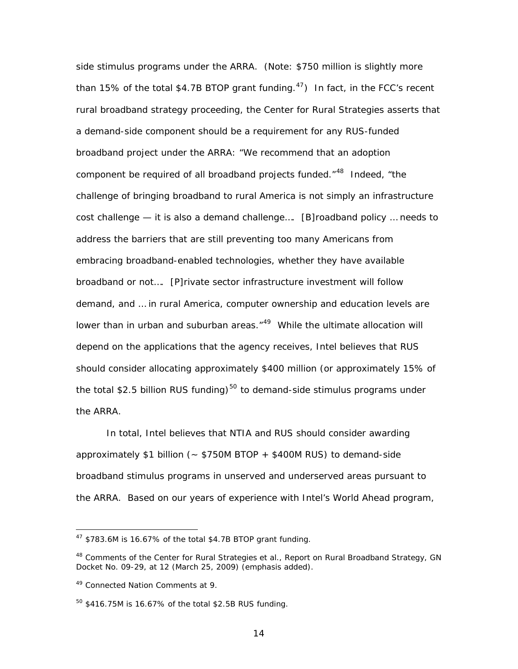side stimulus programs under the ARRA. (Note: \$750 million is slightly more than 15% of the total \$4.7B BTOP grant funding.<sup>[47](#page-18-0)</sup>) In fact, in the FCC's recent rural broadband strategy proceeding, the Center for Rural Strategies asserts that a demand-side component should be a *requirement* for any RUS-funded broadband project under the ARRA: "We recommend that an adoption component be *required* of all broadband projects funded."[48](#page-18-1) Indeed, "the challenge of bringing broadband to rural America is not simply an infrastructure cost challenge — it is also a demand challenge…. [B]roadband policy … needs to address the barriers that are still preventing too many Americans from embracing broadband-enabled technologies, whether they have available broadband or not…. [P]rivate sector infrastructure investment will follow demand, and … in rural America, computer ownership and education levels are lower than in urban and suburban areas."<sup>[49](#page-18-2)</sup> While the ultimate allocation will depend on the applications that the agency receives, Intel believes that RUS should consider allocating approximately \$400 million (or approximately 15% of the total \$2.5 billion RUS funding)<sup>[50](#page-18-3)</sup> to demand-side stimulus programs under the ARRA.

In total, Intel believes that NTIA and RUS should consider awarding approximately  $$1$  billion (~  $$750M$  BTOP +  $$400M$  RUS) to demand-side broadband stimulus programs in unserved and underserved areas pursuant to the ARRA. Based on our years of experience with Intel's World Ahead program,

<span id="page-18-0"></span> $47$  \$783.6M is 16.67% of the total \$4.7B BTOP grant funding.

<span id="page-18-1"></span><sup>48</sup> Comments of the Center for Rural Strategies *et al*., *Report on Rural Broadband Strategy*, GN Docket No. 09-29, at 12 (March 25, 2009) (emphasis added).

<span id="page-18-2"></span><sup>49</sup> Connected Nation Comments at 9.

<span id="page-18-3"></span><sup>50 \$416.75</sup>M is 16.67% of the total \$2.5B RUS funding.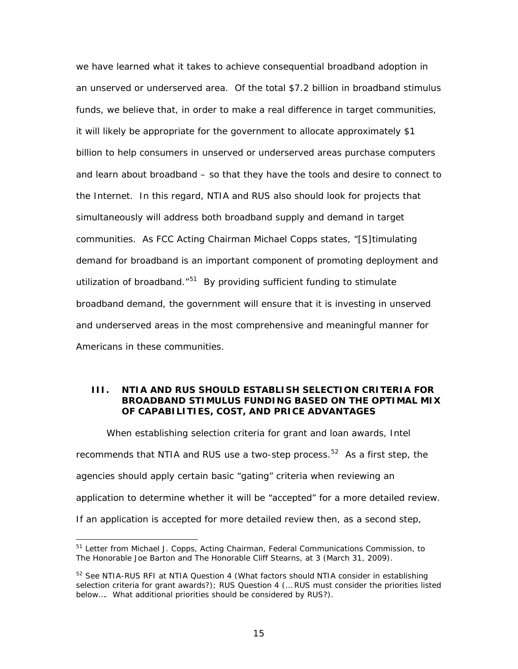we have learned what it takes to achieve consequential broadband adoption in an unserved or underserved area. Of the total \$7.2 billion in broadband stimulus funds, we believe that, in order to make a real difference in target communities, it will likely be appropriate for the government to allocate approximately \$1 billion to help consumers in unserved or underserved areas purchase computers and learn about broadband – so that they have the tools and desire to connect to the Internet. In this regard, NTIA and RUS also should look for projects that simultaneously will address both broadband supply and demand in target communities. As FCC Acting Chairman Michael Copps states, "[S]timulating demand for broadband is an important component of promoting deployment and utilization of broadband.<sup>"[51](#page-19-0)</sup> By providing sufficient funding to stimulate broadband demand, the government will ensure that it is investing in unserved and underserved areas in the most comprehensive and meaningful manner for Americans in these communities.

#### **III. NTIA AND RUS SHOULD ESTABLISH SELECTION CRITERIA FOR BROADBAND STIMULUS FUNDING BASED ON THE OPTIMAL MIX OF CAPABILITIES, COST, AND PRICE ADVANTAGES**

When establishing selection criteria for grant and loan awards, Intel recommends that NTIA and RUS use a two-step process.<sup>[52](#page-19-1)</sup> As a first step, the agencies should apply certain basic "gating" criteria when reviewing an application to determine whether it will be "accepted" for a more detailed review. If an application is accepted for more detailed review then, as a second step,

<span id="page-19-0"></span><sup>&</sup>lt;sup>51</sup> Letter from Michael J. Copps, Acting Chairman, Federal Communications Commission, to The Honorable Joe Barton and The Honorable Cliff Stearns, at 3 (March 31, 2009).

<span id="page-19-1"></span><sup>52</sup> *See* NTIA-RUS RFI at NTIA Question 4 (What factors should NTIA consider in establishing selection criteria for grant awards?); RUS Question 4 (… RUS must consider the priorities listed below…. What additional priorities should be considered by RUS?).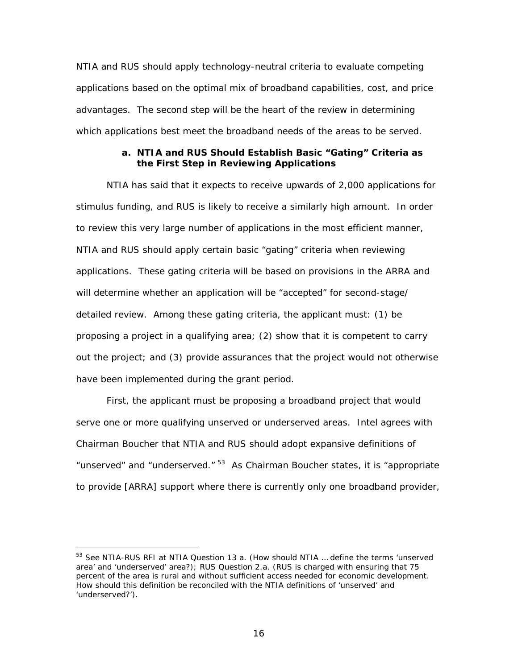NTIA and RUS should apply technology-neutral criteria to evaluate competing applications based on the optimal mix of broadband capabilities, cost, and price advantages. The second step will be the heart of the review in determining which applications best meet the broadband needs of the areas to be served.

#### **a. NTIA and RUS Should Establish Basic "Gating" Criteria as the First Step in Reviewing Applications**

NTIA has said that it expects to receive upwards of 2,000 applications for stimulus funding, and RUS is likely to receive a similarly high amount. In order to review this very large number of applications in the most efficient manner, NTIA and RUS should apply certain basic "gating" criteria when reviewing applications. These gating criteria will be based on provisions in the ARRA and will determine whether an application will be "accepted" for second-stage/ detailed review. Among these gating criteria, the applicant must: (1) be proposing a project in a qualifying area; (2) show that it is competent to carry out the project; and (3) provide assurances that the project would not otherwise have been implemented during the grant period.

First, the applicant must be proposing a broadband project that would serve one or more qualifying unserved or underserved areas. Intel agrees with Chairman Boucher that NTIA and RUS should adopt expansive definitions of "unserved" and "underserved."  $53$  As Chairman Boucher states, it is "appropriate to provide [ARRA] support where there is currently only one broadband provider,

<span id="page-20-0"></span><sup>53</sup> *See* NTIA-RUS RFI at NTIA Question 13 a. (How should NTIA … define the terms 'unserved area' and 'underserved' area?); RUS Question 2.a. (RUS is charged with ensuring that 75 percent of the area is rural and without sufficient access needed for economic development. How should this definition be reconciled with the NTIA definitions of 'unserved' and 'underserved?').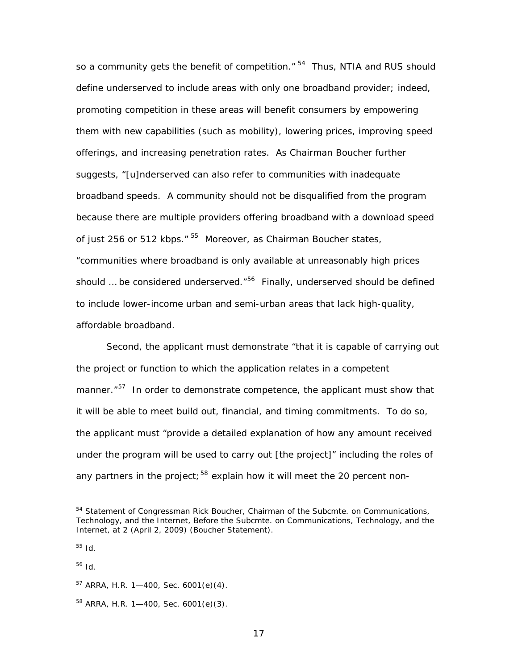so a community gets the benefit of competition." <sup>[54](#page-21-0)</sup> Thus, NTIA and RUS should define underserved to include areas with only one broadband provider; indeed, promoting competition in these areas will benefit consumers by empowering them with new capabilities (such as mobility), lowering prices, improving speed offerings, and increasing penetration rates. As Chairman Boucher further suggests, "[u]nderserved can also refer to communities with inadequate broadband speeds. A community should not be disqualified from the program because there are multiple providers offering broadband with a download speed of just 256 or 512 kbps." <sup>[55](#page-21-1)</sup> Moreover, as Chairman Boucher states, "communities where broadband is only available at unreasonably high prices should ... be considered underserved.<sup>"[56](#page-21-2)</sup> Finally, underserved should be defined to include lower-income urban and semi-urban areas that lack high-quality, affordable broadband.

Second, the applicant must demonstrate "that it is capable of carrying out the project or function to which the application relates in a competent manner.<sup>"[57](#page-21-3)</sup> In order to demonstrate competence, the applicant must show that it will be able to meet build out, financial, and timing commitments. To do so, the applicant must "provide a detailed explanation of how any amount received under the program will be used to carry out [the project]" including the roles of any partners in the project;  $58$  explain how it will meet the 20 percent non-

<span id="page-21-0"></span><sup>54</sup> Statement of Congressman Rick Boucher, Chairman of the Subcmte. on Communications, Technology, and the Internet, Before the Subcmte. on Communications, Technology, and the Internet, at 2 (April 2, 2009) (Boucher Statement).

<span id="page-21-1"></span><sup>55</sup> *Id*.

<span id="page-21-2"></span><sup>56</sup> *Id*.

<span id="page-21-3"></span> $57$  ARRA, H.R. 1-400, Sec. 6001(e)(4).

<span id="page-21-4"></span><sup>58</sup> ARRA, H.R. 1—400, Sec. 6001(e)(3).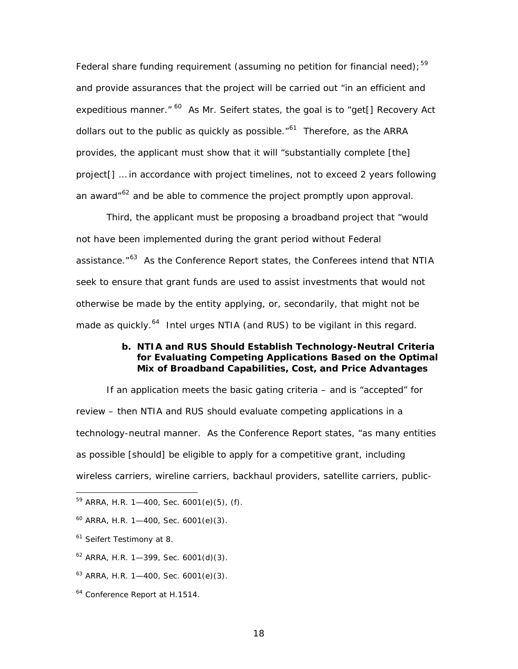Federal share funding requirement (assuming no petition for financial need);<sup>[59](#page-22-0)</sup> and provide assurances that the project will be carried out "in an efficient and expeditious manner."  $60$  As Mr. Seifert states, the goal is to "get<sup>[]</sup> Recovery Act dollars out to the public as quickly as possible. $161$  $161$ <sup>61</sup> Therefore, as the ARRA provides, the applicant must show that it will "substantially complete [the] project[] … in accordance with project timelines, not to exceed 2 years following an award<sup>"[62](#page-22-3)</sup> and be able to commence the project promptly upon approval.

Third, the applicant must be proposing a broadband project that "would not have been implemented during the grant period without Federal assistance."<sup>[63](#page-22-4)</sup> As the Conference Report states, the Conferees intend that NTIA seek to ensure that grant funds are used to assist investments that would not otherwise be made by the entity applying, or, secondarily, that might not be made as quickly.<sup>[64](#page-22-5)</sup> Intel urges NTIA (and RUS) to be vigilant in this regard.

#### **b. NTIA and RUS Should Establish Technology-Neutral Criteria for Evaluating Competing Applications Based on the Optimal Mix of Broadband Capabilities, Cost, and Price Advantages**

If an application meets the basic gating criteria – and is "accepted" for review – then NTIA and RUS should evaluate competing applications in a technology-neutral manner. As the Conference Report states, "as many entities as possible [should] be eligible to apply for a competitive grant, including wireless carriers, wireline carriers, backhaul providers, satellite carriers, public-

<span id="page-22-0"></span> $59$  ARRA, H.R. 1-400, Sec. 6001(e)(5), (f).

<span id="page-22-1"></span> $60$  ARRA, H.R. 1-400, Sec. 6001(e)(3).

<span id="page-22-2"></span><sup>&</sup>lt;sup>61</sup> Seifert Testimony at 8.

<span id="page-22-3"></span> $62$  ARRA, H.R. 1-399, Sec. 6001(d)(3).

<span id="page-22-4"></span> $63$  ARRA, H.R. 1-400, Sec. 6001(e)(3).

<span id="page-22-5"></span><sup>64</sup> Conference Report at H.1514.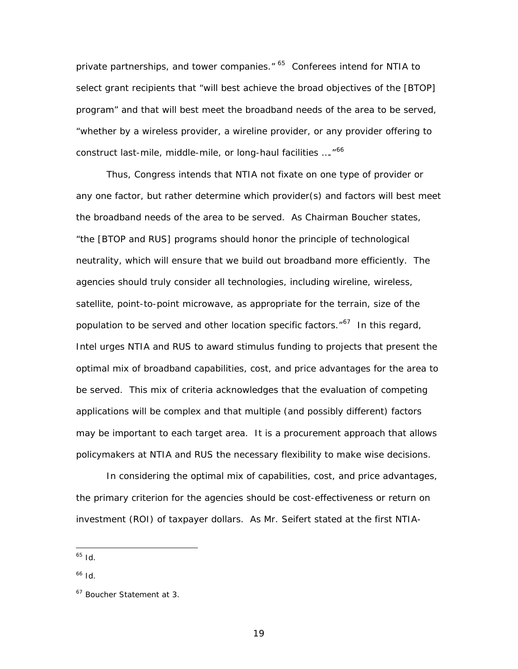private partnerships, and tower companies." <sup>[65](#page-23-0)</sup> Conferees intend for NTIA to select grant recipients that "will best achieve the broad objectives of the [BTOP] program" and that will best meet the broadband needs of the area to be served, "whether by a wireless provider, a wireline provider, or any provider offering to construct last-mile, middle-mile, or long-haul facilities ...."<sup>[66](#page-23-1)</sup>

Thus, Congress intends that NTIA not fixate on one type of provider or any one factor, but rather determine which provider(s) and factors will best meet the broadband needs of the area to be served. As Chairman Boucher states, "the [BTOP and RUS] programs should honor the principle of technological neutrality, which will ensure that we build out broadband more efficiently. The agencies should truly consider all technologies, including wireline, wireless, satellite, point-to-point microwave, as appropriate for the terrain, size of the population to be served and other location specific factors. $167$  $167$  In this regard, Intel urges NTIA and RUS to award stimulus funding to projects that present the *optimal mix of broadband capabilities, cost, and price advantages for the area to be served*. This mix of criteria acknowledges that the evaluation of competing applications will be complex and that multiple (and possibly different) factors may be important to each target area. It is a procurement approach that allows policymakers at NTIA and RUS the necessary flexibility to make wise decisions.

In considering the optimal mix of capabilities, cost, and price advantages, the primary criterion for the agencies should be cost-effectiveness or return on investment (ROI) of taxpayer dollars. As Mr. Seifert stated at the first NTIA-

<span id="page-23-0"></span><sup>65</sup> *Id*.

<span id="page-23-1"></span><sup>66</sup> *Id*.

<span id="page-23-2"></span><sup>67</sup> Boucher Statement at 3.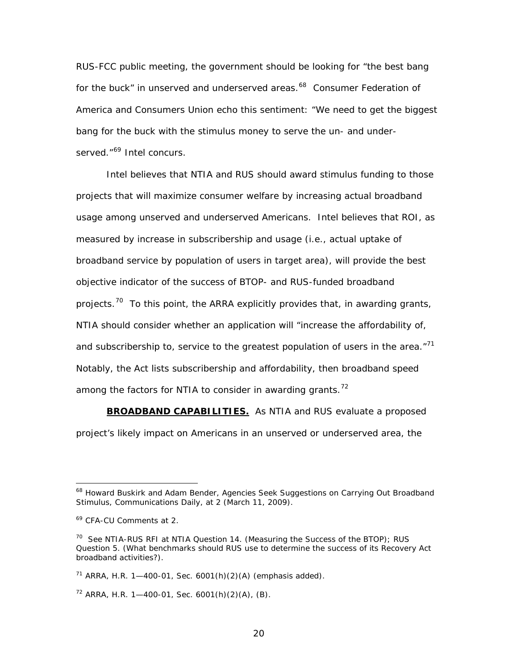RUS-FCC public meeting, the government should be looking for "the best bang for the buck" in unserved and underserved areas.<sup>[68](#page-24-0)</sup> Consumer Federation of America and Consumers Union echo this sentiment: "We need to get the biggest bang for the buck with the stimulus money to serve the un- and under-served."<sup>[69](#page-24-1)</sup> Intel concurs.

Intel believes that NTIA and RUS should award stimulus funding to those projects that will maximize consumer welfare by increasing actual broadband usage among unserved and underserved Americans. Intel believes that ROI, as measured by increase in *subscribership* and usage (*i.e*., actual uptake of broadband service by population of users in target area), will provide the best objective indicator of the success of BTOP- and RUS-funded broadband projects.<sup>[70](#page-24-2)</sup> To this point, the ARRA explicitly provides that, in awarding grants, NTIA should consider whether an application will "increase the affordability of, and *subscribership to*, service to the greatest population of users in the area."<sup>[71](#page-24-3)</sup> Notably, the Act lists subscribership and affordability, *then* broadband speed among the factors for NTIA to consider in awarding grants.<sup>[72](#page-24-4)</sup>

**BROADBAND CAPABILITIES.** As NTIA and RUS evaluate a proposed project's likely impact on Americans in an unserved or underserved area, the

<span id="page-24-0"></span><sup>68</sup> Howard Buskirk and Adam Bender, *Agencies Seek Suggestions on Carrying Out Broadband Stimulus*, Communications Daily, at 2 (March 11, 2009).

<span id="page-24-1"></span><sup>69</sup> CFA-CU Comments at 2.

<span id="page-24-2"></span><sup>70</sup> *See* NTIA-RUS RFI at NTIA Question 14. (Measuring the Success of the BTOP); RUS Question 5. (What benchmarks should RUS use to determine the success of its Recovery Act broadband activities?).

<span id="page-24-3"></span> $71$  ARRA, H.R. 1-400-01, Sec. 6001(h)(2)(A) (emphasis added).

<span id="page-24-4"></span> $72$  ARRA, H.R. 1-400-01, Sec. 6001(h)(2)(A), (B).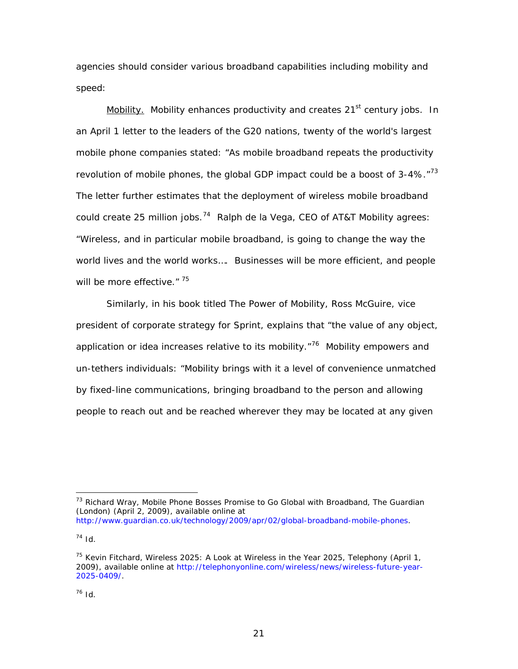agencies should consider various broadband capabilities including mobility and speed:

Mobility. Mobility enhances productivity and creates  $21<sup>st</sup>$  century jobs. In an April 1 letter to the leaders of the G20 nations, twenty of the world's largest mobile phone companies stated: "As mobile broadband repeats the productivity revolution of mobile phones, the global GDP impact could be a boost of  $3-4\%$ .  $7^{73}$  $7^{73}$  $7^{73}$ The letter further estimates that the deployment of wireless mobile broadband could create 25 million jobs.<sup>[74](#page-25-1)</sup> Ralph de la Vega, CEO of AT&T Mobility agrees: "Wireless, and in particular mobile broadband, is going to change the way the world lives and the world works…. Businesses will be more efficient, and people will be more effective." [75](#page-25-2)

Similarly, in his book titled *The Power of Mobility*, Ross McGuire, vice president of corporate strategy for Sprint, explains that "the value of any object, application or idea increases relative to its mobility. $176$  $176$  Mobility empowers and un-tethers individuals: "Mobility brings with it a level of convenience unmatched by fixed-line communications, bringing broadband to the person and allowing people to reach out and be reached wherever they may be located at any given

<span id="page-25-0"></span><sup>73</sup> Richard Wray, *Mobile Phone Bosses Promise to Go Global with Broadband*, The Guardian (London) (April 2, 2009), available online at <http://www.guardian.co.uk/technology/2009/apr/02/global-broadband-mobile-phones>.

<span id="page-25-1"></span> $74$  *Id.* 

<span id="page-25-3"></span><span id="page-25-2"></span><sup>75</sup> Kevin Fitchard, *Wireless 2025: A Look at Wireless in the Year 2025*, Telephony (April 1, 2009), available online at http://telephonyonline.com/wireless/news/wireless-future-year-2025-0409/.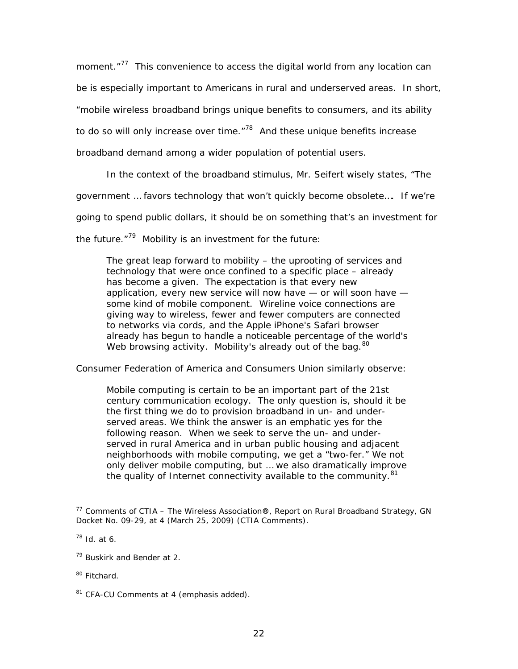moment."<sup>[77](#page-26-0)</sup> This convenience to access the digital world from any location can be is especially important to Americans in rural and underserved areas. In short, "mobile wireless broadband brings unique benefits to consumers, and its ability to do so will only increase over time. $178$  $178$  And these unique benefits increase

broadband demand among a wider population of potential users.

In the context of the broadband stimulus, Mr. Seifert wisely states, "The

government … favors technology that won't quickly become obsolete…. If we're

going to spend public dollars, it should be on something that's an investment for

the future. $179$  $179$  Mobility is an investment for the future:

The great leap forward to mobility – the uprooting of services and technology that were once confined to a specific place – already has become a given. The expectation is that every new application, every new service will now have — or will soon have some kind of mobile component. Wireline voice connections are giving way to wireless, fewer and fewer computers are connected to networks via cords, and the Apple iPhone's Safari browser already has begun to handle a noticeable percentage of the world's Web browsing activity. Mobility's already out of the bag.<sup>[80](#page-26-3)</sup>

Consumer Federation of America and Consumers Union similarly observe:

Mobile computing is certain to be an important part of the 21st century communication ecology. The only question is, *should it be the first thing we do to provision broadband in un- and underserved areas*. *We think the answer is an emphatic yes* for the following reason. When we seek to serve the un- and underserved in rural America and in urban public housing and adjacent neighborhoods with mobile computing, we get a "two-fer." We not only deliver mobile computing, but … we also dramatically improve the quality of Internet connectivity available to the community.<sup>[81](#page-26-4)</sup>

<span id="page-26-0"></span><sup>77</sup> Comments of CTIA – The Wireless Association**®**, *Report on Rural Broadband Strategy*, GN Docket No. 09-29, at 4 (March 25, 2009) (CTIA Comments).

<span id="page-26-1"></span><sup>78</sup> *Id.* at 6.

<span id="page-26-2"></span><sup>79</sup> Buskirk and Bender at 2.

<span id="page-26-3"></span><sup>&</sup>lt;sup>80</sup> Fitchard.

<span id="page-26-4"></span><sup>&</sup>lt;sup>81</sup> CFA-CU Comments at 4 (emphasis added).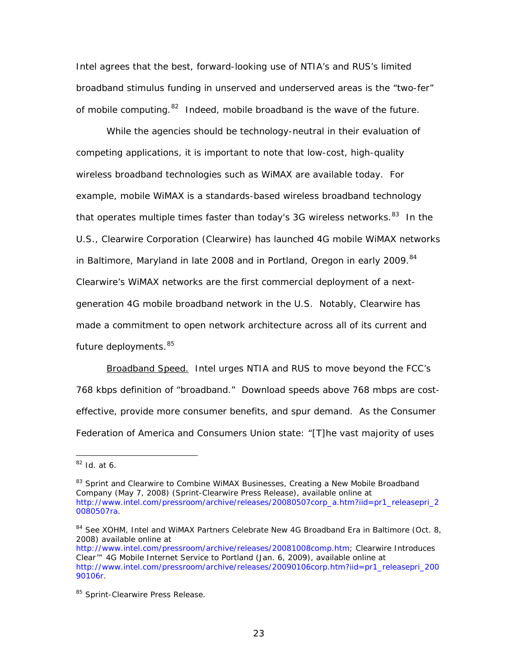Intel agrees that the best, forward-looking use of NTIA's and RUS's limited broadband stimulus funding in unserved and underserved areas is the "two-fer" of mobile computing. $82$  Indeed, mobile broadband is the wave of the future.

 While the agencies should be technology-neutral in their evaluation of competing applications, it is important to note that low-cost, high-quality wireless broadband technologies such as WiMAX are available today. For example, mobile WiMAX is a standards-based wireless broadband technology that operates multiple times faster than today's 3G wireless networks.  $83$  In the U.S., Clearwire Corporation (Clearwire) has launched 4G mobile WiMAX networks in Baltimore, Maryland in late 2008 and in Portland, Oregon in early 2009.<sup>[84](#page-27-2)</sup> Clearwire's WiMAX networks are the first commercial deployment of a nextgeneration 4G mobile broadband network in the U.S. Notably, Clearwire has made a commitment to open network architecture across all of its current and future deployments.<sup>[85](#page-27-3)</sup>

Broadband Speed. Intel urges NTIA and RUS to move beyond the FCC's 768 kbps definition of "broadband." Download speeds above 768 mbps are costeffective, provide more consumer benefits, and spur demand. As the Consumer Federation of America and Consumers Union state: "[T]he vast majority of uses

<span id="page-27-0"></span><sup>82</sup> *Id.* at 6.

<span id="page-27-1"></span><sup>83</sup> *Sprint and Clearwire to Combine WiMAX Businesses, Creating a New Mobile Broadband Company* (May 7, 2008) (Sprint-Clearwire Press Release), available online at [http://www.intel.com/pressroom/archive/releases/20080507corp\\_a.htm?iid=pr1\\_releasepri\\_2](http://www.intel.com/pressroom/archive/releases/20080507corp_a.htm?iid=pr1_releasepri_20080507ra) [0080507ra](http://www.intel.com/pressroom/archive/releases/20080507corp_a.htm?iid=pr1_releasepri_20080507ra).

<span id="page-27-2"></span><sup>84</sup> *See* XOHM, Intel and WiMAX Partners Celebrate New 4G Broadband Era in Baltimore (Oct. 8, 2008) available online at

http://www.intel.com/pressroom/archive/releases/20081008comp.htm; Clearwire Introduces Clear™ 4G Mobile Internet Service to Portland (Jan. 6, 2009), available online at http://www.intel.com/pressroom/archive/releases/20090106corp.htm?iid=pr1\_releasepri\_200 90106r.

<span id="page-27-3"></span><sup>85</sup> Sprint-Clearwire Press Release.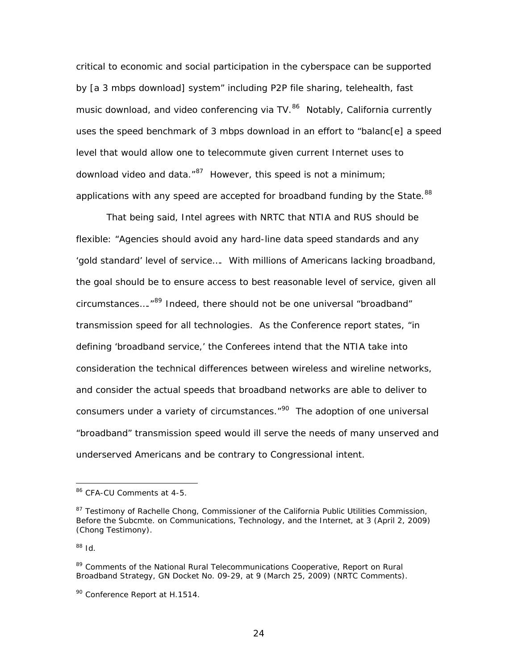critical to economic and social participation in the cyberspace can be supported by [a 3 mbps download] system" including P2P file sharing, telehealth, fast music download, and video conferencing via  $TV.^{86}$  $TV.^{86}$  $TV.^{86}$  Notably, California currently uses the speed benchmark of 3 mbps download in an effort to "balanc[e] a speed level that would allow one to telecommute given current Internet uses to download video and data. $^{87}$  $^{87}$  $^{87}$  However, this speed is not a minimum; applications with any speed are accepted for broadband funding by the State.<sup>88</sup>

That being said, Intel agrees with NRTC that NTIA and RUS should be flexible: "Agencies should avoid any hard-line data speed standards and any 'gold standard' level of service…. With millions of Americans lacking broadband, the goal should be to ensure access to best reasonable level of service, given all circumstances...."<sup>[89](#page-28-2)</sup> Indeed, there should not be one universal "broadband" transmission speed for all technologies. As the Conference report states, "in defining 'broadband service,' the Conferees intend that the NTIA take into consideration the technical differences between wireless and wireline networks, and consider the actual speeds that broadband networks are able to deliver to consumers under a variety of circumstances."<sup>[90](#page-28-3)</sup> The adoption of one universal "broadband" transmission speed would ill serve the needs of many unserved and underserved Americans and be contrary to Congressional intent.

<span id="page-28-0"></span><sup>&</sup>lt;sup>86</sup> CFA-CU Comments at 4-5.

<span id="page-28-1"></span><sup>&</sup>lt;sup>87</sup> Testimony of Rachelle Chong, Commissioner of the California Public Utilities Commission, Before the Subcmte. on Communications, Technology, and the Internet, at 3 (April 2, 2009) (Chong Testimony).

<sup>88</sup> *Id*.

<span id="page-28-2"></span><sup>89</sup> Comments of the National Rural Telecommunications Cooperative, *Report on Rural Broadband Strategy*, GN Docket No. 09-29, at 9 (March 25, 2009) (NRTC Comments).

<span id="page-28-3"></span><sup>&</sup>lt;sup>90</sup> Conference Report at H.1514.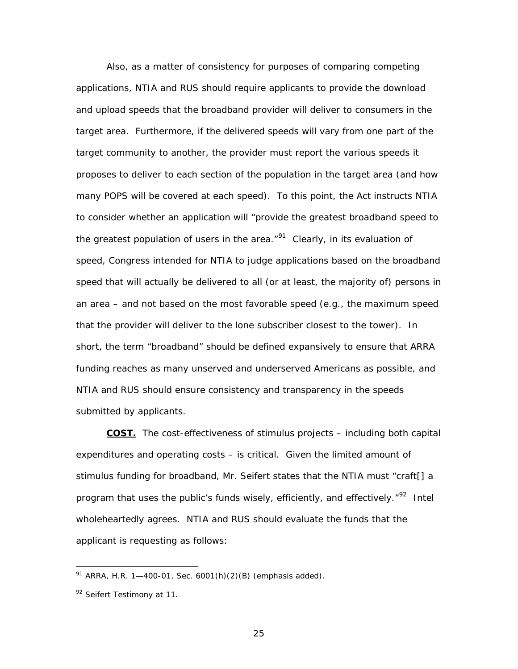Also, as a matter of consistency for purposes of comparing competing applications, NTIA and RUS should require applicants to provide the download and upload speeds that the broadband provider will deliver *to consumers* in the target area. Furthermore, if the delivered speeds will vary from one part of the target community to another, the provider must report the various speeds it proposes to deliver to each section of the population in the target area (and how many POPS will be covered at each speed). To this point, the Act instructs NTIA to consider whether an application will "provide the greatest broadband speed to *the greatest population of users* in the area."<sup>[91](#page-29-0)</sup> Clearly, in its evaluation of speed, Congress intended for NTIA to judge applications based on the broadband speed that will actually be delivered to all (or at least, the majority of) persons in an area – and not based on the most favorable speed (*e.g*., the maximum speed that the provider will deliver to the lone subscriber closest to the tower). In short, the term "broadband" should be defined expansively to ensure that ARRA funding reaches as many unserved and underserved Americans as possible, and NTIA and RUS should ensure consistency and transparency in the speeds submitted by applicants.

**COST.** The cost-effectiveness of stimulus projects – including both capital expenditures and operating costs – is critical. Given the limited amount of stimulus funding for broadband, Mr. Seifert states that the NTIA must "craft[] a program that uses the public's funds wisely, efficiently, and effectively. $10^{92}$  $10^{92}$  $10^{92}$  Intel wholeheartedly agrees. NTIA and RUS should evaluate the funds that the applicant is requesting as follows:

<span id="page-29-0"></span> $91$  ARRA, H.R. 1-400-01, Sec. 6001(h)(2)(B) (emphasis added).

<span id="page-29-1"></span><sup>92</sup> Seifert Testimony at 11.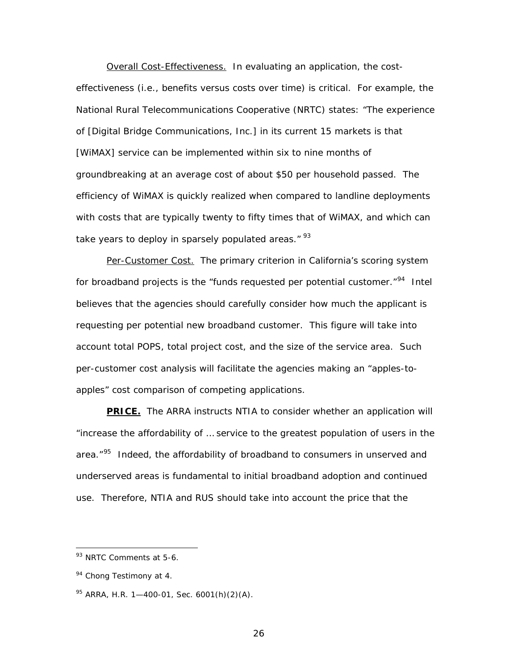Overall Cost-Effectiveness. In evaluating an application, the costeffectiveness (*i.e*., benefits versus costs over time) is critical. For example, the National Rural Telecommunications Cooperative (NRTC) states: "The experience of [Digital Bridge Communications, Inc.] in its current 15 markets is that [WiMAX] service can be implemented within six to nine months of groundbreaking at an average cost of about \$50 per household passed. The efficiency of WiMAX is quickly realized when compared to landline deployments with costs that are typically twenty to fifty times that of WiMAX, and which can take years to deploy in sparsely populated areas." <sup>[93](#page-30-0)</sup>

Per-Customer Cost. The primary criterion in California's scoring system for broadband projects is the "funds requested per potential customer." $94$  Intel believes that the agencies should carefully consider how much the applicant is requesting per potential new broadband customer. This figure will take into account total POPS, total project cost, and the size of the service area. Such per-customer cost analysis will facilitate the agencies making an "apples-toapples" cost comparison of competing applications.

**PRICE.** The ARRA instructs NTIA to consider whether an application will "increase the affordability of … service to the greatest population of users in the area."<sup>[95](#page-30-2)</sup> Indeed, the affordability of broadband to consumers in unserved and underserved areas is fundamental to initial broadband adoption and continued use. Therefore, NTIA and RUS should take into account the price that the

 $\overline{a}$ 

26

<span id="page-30-0"></span><sup>&</sup>lt;sup>93</sup> NRTC Comments at 5-6.

<span id="page-30-1"></span><sup>&</sup>lt;sup>94</sup> Chong Testimony at 4.

<span id="page-30-2"></span> $95$  ARRA, H.R. 1-400-01, Sec. 6001(h)(2)(A).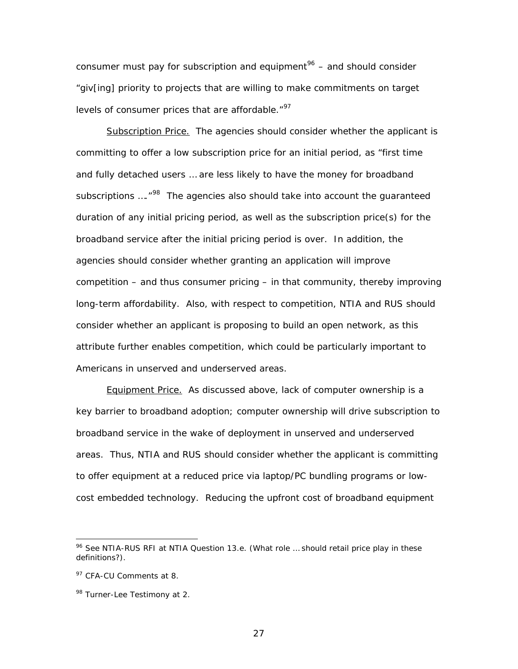consumer must pay for subscription and equipment<sup>[96](#page-31-0)</sup> – and should consider "giv[ing] priority to projects that are willing to make commitments on target levels of consumer prices that are affordable."<sup>[97](#page-31-1)</sup>

Subscription Price. The agencies should consider whether the applicant is committing to offer a low subscription price for an initial period, as "first time and fully detached users … are less likely to have the money for broadband subscriptions ....<sup>"[98](#page-31-2)</sup> The agencies also should take into account the quaranteed duration of any initial pricing period, as well as the subscription price(s) for the broadband service after the initial pricing period is over. In addition, the agencies should consider whether granting an application will improve competition – and thus consumer pricing – in that community, thereby improving long-term affordability. Also, with respect to competition, NTIA and RUS should consider whether an applicant is proposing to build an open network, as this attribute further enables competition, which could be particularly important to Americans in unserved and underserved areas.

Equipment Price. As discussed above, lack of computer ownership is a key barrier to broadband adoption; computer ownership will drive subscription to broadband service in the wake of deployment in unserved and underserved areas. Thus, NTIA and RUS should consider whether the applicant is committing to offer equipment at a reduced price via laptop/PC bundling programs or lowcost embedded technology. Reducing the upfront cost of broadband equipment

 $\overline{a}$ 

27

<span id="page-31-0"></span><sup>96</sup> *See* NTIA-RUS RFI at NTIA Question 13.e. (What role … should retail price play in these definitions?).

<span id="page-31-1"></span><sup>&</sup>lt;sup>97</sup> CFA-CU Comments at 8.

<span id="page-31-2"></span><sup>98</sup> Turner-Lee Testimony at 2.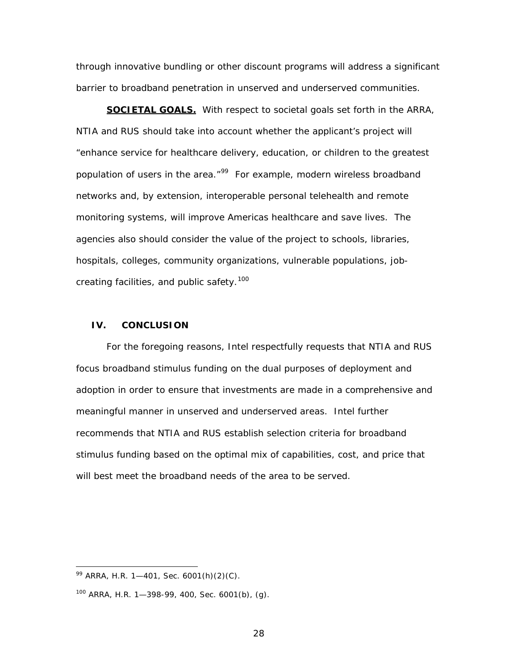through innovative bundling or other discount programs will address a significant barrier to broadband penetration in unserved and underserved communities.

**SOCIETAL GOALS.** With respect to societal goals set forth in the ARRA, NTIA and RUS should take into account whether the applicant's project will "enhance service for healthcare delivery, education, or children to the greatest population of users in the area."<sup>[99](#page-32-0)</sup> For example, modern wireless broadband networks and, by extension, interoperable personal telehealth and remote monitoring systems, will improve Americas healthcare and save lives. The agencies also should consider the value of the project to schools, libraries, hospitals, colleges, community organizations, vulnerable populations, job-creating facilities, and public safety.<sup>[100](#page-32-1)</sup>

#### **IV. CONCLUSION**

For the foregoing reasons, Intel respectfully requests that NTIA and RUS focus broadband stimulus funding on the dual purposes of deployment and adoption in order to ensure that investments are made in a comprehensive and meaningful manner in unserved and underserved areas. Intel further recommends that NTIA and RUS establish selection criteria for broadband stimulus funding based on the optimal mix of capabilities, cost, and price that will best meet the broadband needs of the area to be served.

<span id="page-32-0"></span> $99$  ARRA, H.R. 1—401, Sec. 6001(h)(2)(C).

<span id="page-32-1"></span> $100$  ARRA, H.R. 1-398-99, 400, Sec. 6001(b), (g).